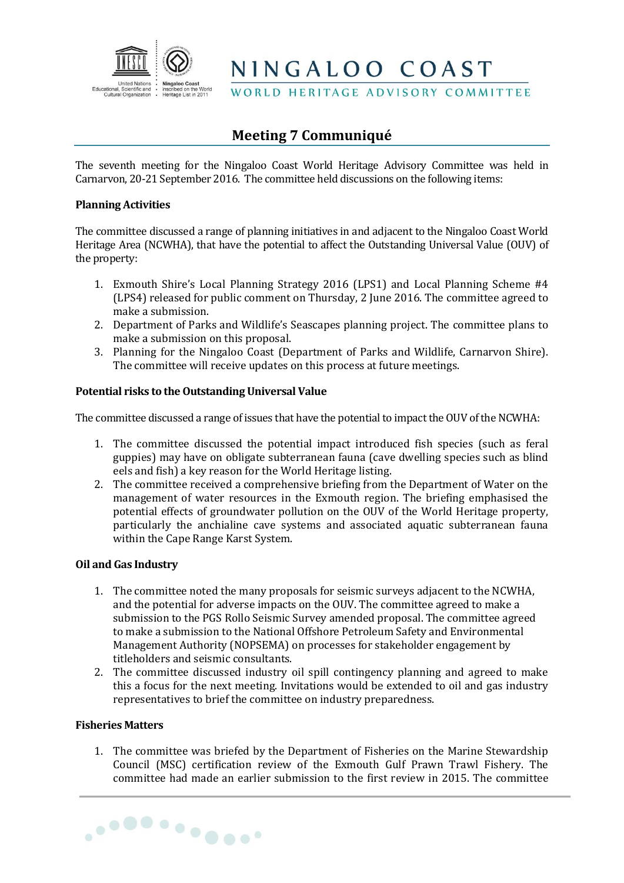

NINGALOO COAST

WORLD HERITAGE ADVISORY COMMITTEE

# **Meeting 7 Communiqué**

The seventh meeting for the Ningaloo Coast World Heritage Advisory Committee was held in Carnarvon, 20-21 September 2016. The committee held discussions on the following items:

### **Planning Activities**

The committee discussed a range of planning initiatives in and adjacent to the Ningaloo Coast World Heritage Area (NCWHA), that have the potential to affect the Outstanding Universal Value (OUV) of the property:

- 1. Exmouth Shire's Local Planning Strategy 2016 (LPS1) and Local Planning Scheme #4 (LPS4) released for public comment on Thursday, 2 June 2016. The committee agreed to make a submission.
- 2. Department of Parks and Wildlife's Seascapes planning project. The committee plans to make a submission on this proposal.
- 3. Planning for the Ningaloo Coast (Department of Parks and Wildlife, Carnarvon Shire). The committee will receive updates on this process at future meetings.

## **Potential risks to the Outstanding Universal Value**

The committee discussed a range of issues that have the potential to impact the OUV of the NCWHA:

- 1. The committee discussed the potential impact introduced fish species (such as feral guppies) may have on obligate subterranean fauna (cave dwelling species such as blind eels and fish) a key reason for the World Heritage listing.
- 2. The committee received a comprehensive briefing from the Department of Water on the management of water resources in the Exmouth region. The briefing emphasised the potential effects of groundwater pollution on the OUV of the World Heritage property, particularly the anchialine cave systems and associated aquatic subterranean fauna within the Cape Range Karst System.

#### **Oil and Gas Industry**

- 1. The committee noted the many proposals for seismic surveys adjacent to the NCWHA, and the potential for adverse impacts on the OUV. The committee agreed to make a submission to the PGS Rollo Seismic Survey amended proposal. The committee agreed to make a submission to the National Offshore Petroleum Safety and Environmental Management Authority (NOPSEMA) on processes for stakeholder engagement by titleholders and seismic consultants.
- 2. The committee discussed industry oil spill contingency planning and agreed to make this a focus for the next meeting. Invitations would be extended to oil and gas industry representatives to brief the committee on industry preparedness.

#### **Fisheries Matters**

1. The committee was briefed by the Department of Fisheries on the Marine Stewardship Council (MSC) certification review of the Exmouth Gulf Prawn Trawl Fishery. The committee had made an earlier submission to the first review in 2015. The committee

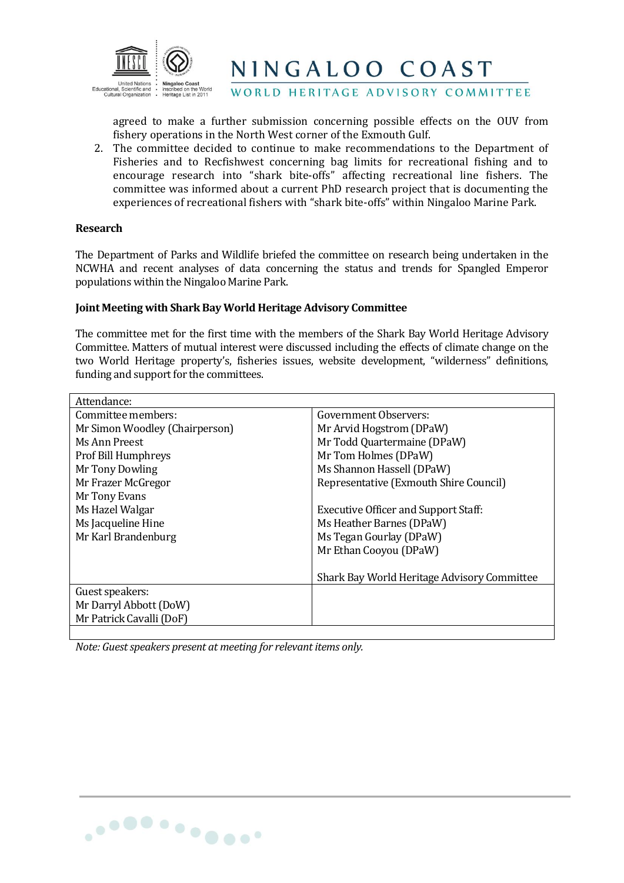

NINGALOO COAST

WORLD HERITAGE ADVISORY COMMITTEE

agreed to make a further submission concerning possible effects on the OUV from fishery operations in the North West corner of the Exmouth Gulf.

2. The committee decided to continue to make recommendations to the Department of Fisheries and to Recfishwest concerning bag limits for recreational fishing and to encourage research into "shark bite-offs" affecting recreational line fishers. The committee was informed about a current PhD research project that is documenting the experiences of recreational fishers with "shark bite-offs" within Ningaloo Marine Park.

#### **Research**

The Department of Parks and Wildlife briefed the committee on research being undertaken in the NCWHA and recent analyses of data concerning the status and trends for Spangled Emperor populations within the Ningaloo Marine Park.

#### **Joint Meeting with Shark Bay World Heritage Advisory Committee**

The committee met for the first time with the members of the Shark Bay World Heritage Advisory Committee. Matters of mutual interest were discussed including the effects of climate change on the two World Heritage property's, fisheries issues, website development, "wilderness" definitions, funding and support for the committees.

| Attendance:                    |                                             |  |
|--------------------------------|---------------------------------------------|--|
| Committee members:             | Government Observers:                       |  |
| Mr Simon Woodley (Chairperson) | Mr Arvid Hogstrom (DPaW)                    |  |
| Ms Ann Preest                  | Mr Todd Quartermaine (DPaW)                 |  |
| <b>Prof Bill Humphreys</b>     | Mr Tom Holmes (DPaW)                        |  |
| Mr Tony Dowling                | Ms Shannon Hassell (DPaW)                   |  |
| Mr Frazer McGregor             | Representative (Exmouth Shire Council)      |  |
| Mr Tony Evans                  |                                             |  |
| Ms Hazel Walgar                | <b>Executive Officer and Support Staff:</b> |  |
| Ms Jacqueline Hine             | Ms Heather Barnes (DPaW)                    |  |
| Mr Karl Brandenburg            | Ms Tegan Gourlay (DPaW)                     |  |
|                                | Mr Ethan Cooyou (DPaW)                      |  |
|                                |                                             |  |
|                                | Shark Bay World Heritage Advisory Committee |  |
| Guest speakers:                |                                             |  |
| Mr Darryl Abbott (DoW)         |                                             |  |
| Mr Patrick Cavalli (DoF)       |                                             |  |
|                                |                                             |  |

*Note: Guest speakers present at meeting for relevant items only.*